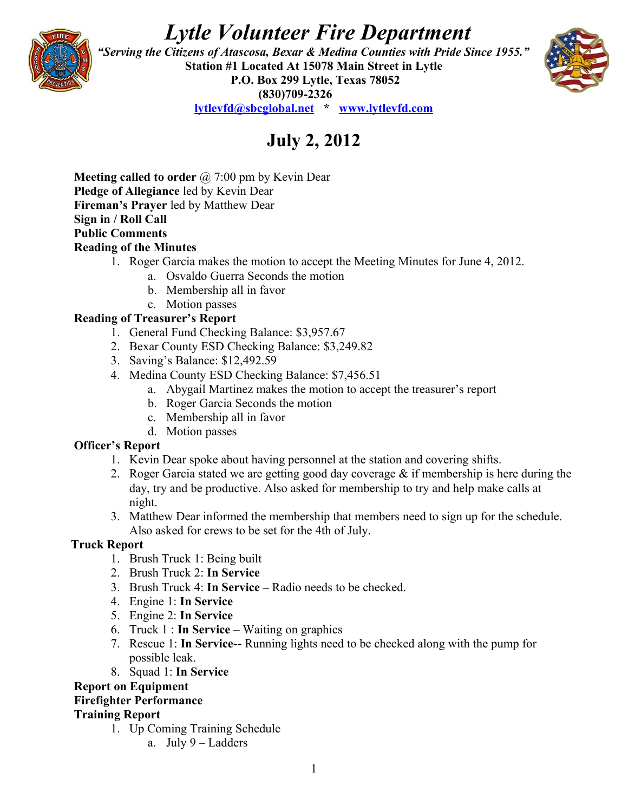# *Lytle Volunteer Fire Department*



 *"Serving the Citizens of Atascosa, Bexar & Medina Counties with Pride Since 1955."*  **Station #1 Located At 15078 Main Street in Lytle P.O. Box 299 Lytle, Texas 78052 (830)709-2326**



**[lytlevfd@sbcglobal.net](mailto:lytlevfd@sbcglobal.net) \* [www.lytlevfd.com](http://www.lytlevfd.com/)**

## **July 2, 2012**

**Meeting called to order** @ 7:00 pm by Kevin Dear **Pledge of Allegiance** led by Kevin Dear **Fireman's Prayer** led by Matthew Dear **Sign in / Roll Call Public Comments Reading of the Minutes**

- 1. Roger Garcia makes the motion to accept the Meeting Minutes for June 4, 2012.
	- a. Osvaldo Guerra Seconds the motion
	- b. Membership all in favor
	- c. Motion passes

### **Reading of Treasurer's Report**

- 1. General Fund Checking Balance: \$3,957.67
- 2. Bexar County ESD Checking Balance: \$3,249.82
- 3. Saving's Balance: \$12,492.59
- 4. Medina County ESD Checking Balance: \$7,456.51
	- a. Abygail Martinez makes the motion to accept the treasurer's report
	- b. Roger Garcia Seconds the motion
	- c. Membership all in favor
	- d. Motion passes

#### **Officer's Report**

- 1. Kevin Dear spoke about having personnel at the station and covering shifts.
- 2. Roger Garcia stated we are getting good day coverage  $\&$  if membership is here during the day, try and be productive. Also asked for membership to try and help make calls at night.
- 3. Matthew Dear informed the membership that members need to sign up for the schedule. Also asked for crews to be set for the 4th of July.

#### **Truck Report**

- 1. Brush Truck 1: Being built
- 2. Brush Truck 2: **In Service**
- 3. Brush Truck 4: **In Service** Radio needs to be checked.
- 4. Engine 1: **In Service**
- 5. Engine 2: **In Service**
- 6. Truck 1 : **In Service**  Waiting on graphics
- 7. Rescue 1: **In Service--** Running lights need to be checked along with the pump for possible leak.
- 8. Squad 1: **In Service**

#### **Report on Equipment**

#### **Firefighter Performance**

#### **Training Report**

- 1. Up Coming Training Schedule
	- a. July 9 Ladders